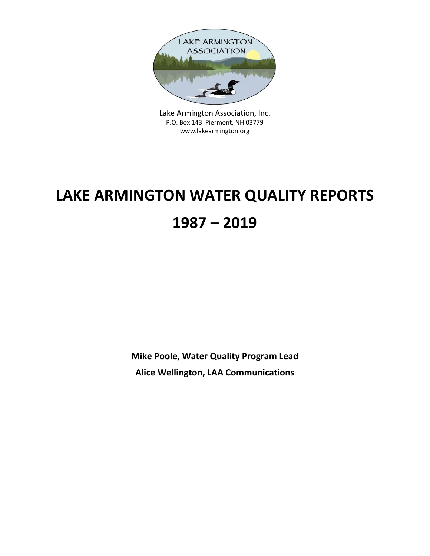

Lake Armington Association, Inc. P.O. Box 143 Piermont, NH 03779 www.lakearmington.org

# **LAKE ARMINGTON WATER QUALITY REPORTS 1987 – 2019**

**Mike Poole, Water Quality Program Lead Alice Wellington, LAA Communications**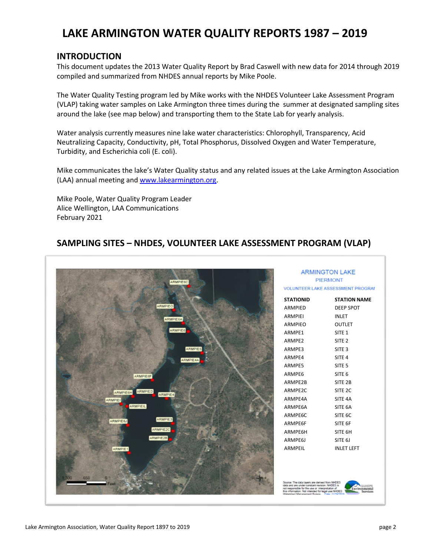#### **LAKE ARMINGTON WATER QUALITY REPORTS 1987 – 2019**

#### **INTRODUCTION**

This document updates the 2013 Water Quality Report by Brad Caswell with new data for 2014 through 2019 compiled and summarized from NHDES annual reports by Mike Poole.

The Water Quality Testing program led by Mike works with the NHDES Volunteer Lake Assessment Program (VLAP) taking water samples on Lake Armington three times during the summer at designated sampling sites around the lake (see map below) and transporting them to the State Lab for yearly analysis.

Water analysis currently measures nine lake water characteristics: Chlorophyll, Transparency, Acid Neutralizing Capacity, Conductivity, pH, Total Phosphorus, Dissolved Oxygen and Water Temperature, Turbidity, and Escherichia coli (E. coli).

Mike communicates the lake's Water Quality status and any related issues at the Lake Armington Association (LAA) annual meeting and [www.lakearmington.org.](http://www.lakearmington.org/)

Mike Poole, Water Quality Program Leader Alice Wellington, LAA Communications February 2021

#### **SAMPLING SITES – NHDES, VOLUNTEER LAKE ASSESSMENT PROGRAM (VLAP)**



| <b>ARMINGTON LAKE</b><br>PIERMONT |                                          |  |  |  |  |  |  |  |
|-----------------------------------|------------------------------------------|--|--|--|--|--|--|--|
|                                   | <b>VOLUNTEER LAKE ASSESSMENT PROGRAI</b> |  |  |  |  |  |  |  |
| STATIONID                         | <b>STATION NAME</b>                      |  |  |  |  |  |  |  |
| ARMPIED                           | <b>DEEP SPOT</b>                         |  |  |  |  |  |  |  |
| ARMPIEI                           | <b>INLET</b>                             |  |  |  |  |  |  |  |
| ARMPIEO                           | <b>OUTLET</b>                            |  |  |  |  |  |  |  |
| ARMPE1                            | SITE <sub>1</sub>                        |  |  |  |  |  |  |  |
| ARMPE2                            | SITE <sub>2</sub>                        |  |  |  |  |  |  |  |
| ARMPE3                            | SITE <sub>3</sub>                        |  |  |  |  |  |  |  |
| ARMPE4                            | SITE <sub>4</sub>                        |  |  |  |  |  |  |  |
| ARMPE5                            | SITE <sub>5</sub>                        |  |  |  |  |  |  |  |
| ARMPE6                            | SITE <sub>6</sub>                        |  |  |  |  |  |  |  |
| ARMPE2B                           | SITE <sub>2B</sub>                       |  |  |  |  |  |  |  |
| ARMPE2C                           | SITE <sub>2C</sub>                       |  |  |  |  |  |  |  |
| ARMPE4A                           | SITE 4A                                  |  |  |  |  |  |  |  |
| ARMPE6A                           | SITE 6A                                  |  |  |  |  |  |  |  |
| ARMPE6C                           | SITE 6C                                  |  |  |  |  |  |  |  |
| ARMPE6F                           | SITE 6F                                  |  |  |  |  |  |  |  |
| ARMPE6H                           | SITE 6H                                  |  |  |  |  |  |  |  |
| ARMPE6J                           | SITE 6J                                  |  |  |  |  |  |  |  |
| ARMPFII                           | INLET LEFT                               |  |  |  |  |  |  |  |
|                                   |                                          |  |  |  |  |  |  |  |

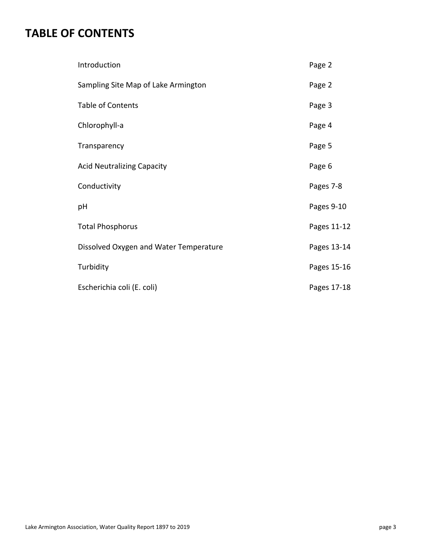### **TABLE OF CONTENTS**

| Introduction                           | Page 2      |
|----------------------------------------|-------------|
| Sampling Site Map of Lake Armington    | Page 2      |
| <b>Table of Contents</b>               | Page 3      |
| Chlorophyll-a                          | Page 4      |
| Transparency                           | Page 5      |
| <b>Acid Neutralizing Capacity</b>      | Page 6      |
| Conductivity                           | Pages 7-8   |
| pH                                     | Pages 9-10  |
| <b>Total Phosphorus</b>                | Pages 11-12 |
| Dissolved Oxygen and Water Temperature | Pages 13-14 |
| Turbidity                              | Pages 15-16 |
| Escherichia coli (E. coli)             | Pages 17-18 |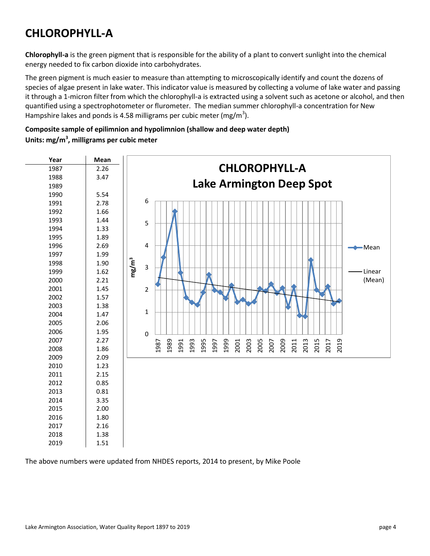### **CHLOROPHYLL-A**

**Chlorophyll-a** is the green pigment that is responsible for the ability of a plant to convert sunlight into the chemical energy needed to fix carbon dioxide into carbohydrates.

The green pigment is much easier to measure than attempting to microscopically identify and count the dozens of species of algae present in lake water. This indicator value is measured by collecting a volume of lake water and passing it through a 1-micron filter from which the chlorophyll-a is extracted using a solvent such as acetone or alcohol, and then quantified using a spectrophotometer or flurometer. The median summer chlorophyll-a concentration for New Hampshire lakes and ponds is 4.58 milligrams per cubic meter (mg/m<sup>3</sup>).

#### **Composite sample of epilimnion and hypolimnion (shallow and deep water depth) Units: mg/m<sup>3</sup> , milligrams per cubic meter**



The above numbers were updated from NHDES reports, 2014 to present, by Mike Poole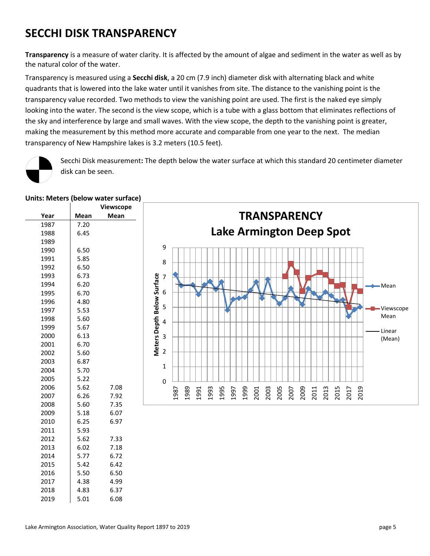### **SECCHI DISK TRANSPARENCY**

**Transparency** is a measure of water clarity. It is affected by the amount of algae and sediment in the water as well as by the natural color of the water.

Transparency is measured using a **Secchi disk**, a 20 cm (7.9 inch) diameter disk with alternating black and white quadrants that is lowered into the lake water until it vanishes from site. The distance to the vanishing point is the transparency value recorded. Two methods to view the vanishing point are used. The first is the naked eye simply looking into the water. The second is the view scope, which is a tube with a glass bottom that eliminates reflections of the sky and interference by large and small waves. With the view scope, the depth to the vanishing point is greater, making the measurement by this method more accurate and comparable from one year to the next. The median transparency of New Hampshire lakes is 3.2 meters (10.5 feet).

![](_page_4_Picture_3.jpeg)

Secchi Disk measurement**:** The depth below the water surface at which this standard 20 centimeter diameter disk can be seen.

|      |      | Viewscope |
|------|------|-----------|
| Year | Mean | Mean      |
| 1987 | 7.20 |           |
| 1988 | 6.45 |           |
| 1989 |      |           |
| 1990 | 6.50 |           |
| 1991 | 5.85 |           |
| 1992 | 6.50 |           |
| 1993 | 6.73 |           |
| 1994 | 6.20 |           |
| 1995 | 6.70 |           |
| 1996 | 4.80 |           |
| 1997 | 5.53 |           |
| 1998 | 5.60 |           |
| 1999 | 5.67 |           |
| 2000 | 6.13 |           |
| 2001 | 6.70 |           |
| 2002 | 5.60 |           |
| 2003 | 6.87 |           |
| 2004 | 5.70 |           |
| 2005 | 5.22 |           |
| 2006 | 5.62 | 7.08      |
| 2007 | 6.26 | 7.92      |
| 2008 | 5.60 | 7.35      |
| 2009 | 5.18 | 6.07      |
| 2010 | 6.25 | 6.97      |
| 2011 | 5.93 |           |
| 2012 | 5.62 | 7.33      |
| 2013 | 6.02 | 7.18      |
| 2014 | 5.77 | 6.72      |
| 2015 | 5.42 | 6.42      |
| 2016 | 5.50 | 6.50      |
| 2017 | 4.38 | 4.99      |
| 2018 | 4.83 | 6.37      |
| 2019 | 5.01 | 6.08      |

#### **Units: Meters (below water surface)**

![](_page_4_Figure_7.jpeg)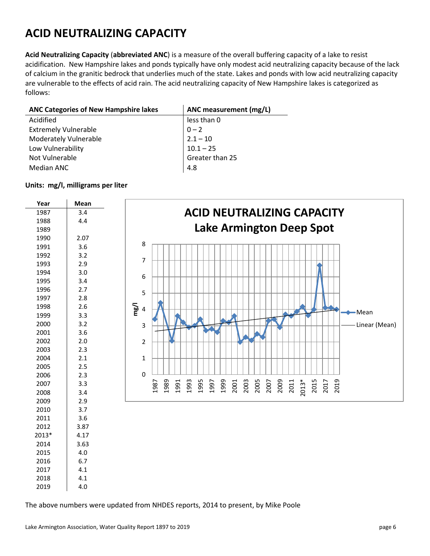### **ACID NEUTRALIZING CAPACITY**

**Acid Neutralizing Capacity** (**abbreviated ANC**) is a measure of the overall buffering capacity of a lake to resist acidification. New Hampshire lakes and ponds typically have only modest acid neutralizing capacity because of the lack of calcium in the granitic bedrock that underlies much of the state. Lakes and ponds with low acid neutralizing capacity are vulnerable to the effects of acid rain. The acid neutralizing capacity of New Hampshire lakes is categorized as follows:

| <b>ANC Categories of New Hampshire lakes</b> | ANC measurement (mg/L) |
|----------------------------------------------|------------------------|
| Acidified                                    | less than 0            |
| <b>Extremely Vulnerable</b>                  | $0 - 2$                |
| Moderately Vulnerable                        | $2.1 - 10$             |
| Low Vulnerability                            | $10.1 - 25$            |
| Not Vulnerable                               | Greater than 25        |
| Median ANC                                   | 4.8                    |

#### **Units: mg/l, milligrams per liter**

![](_page_5_Figure_4.jpeg)

The above numbers were updated from NHDES reports, 2014 to present, by Mike Poole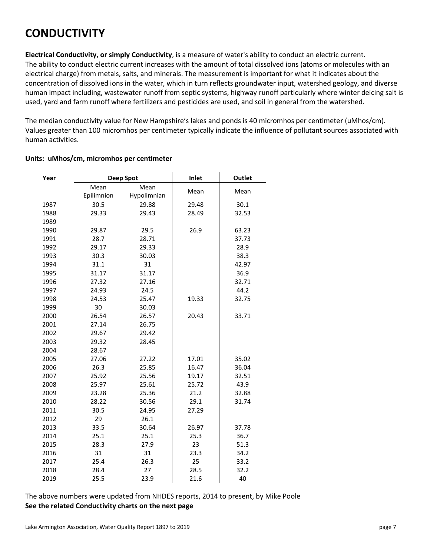### **CONDUCTIVITY**

**Electrical Conductivity, or simply Conductivity**, is a measure of water's ability to conduct an electric current. The ability to conduct electric current increases with the amount of total dissolved ions (atoms or molecules with an electrical charge) from metals, salts, and minerals. The measurement is important for what it indicates about the concentration of dissolved ions in the water, which in turn reflects groundwater input, watershed geology, and diverse human impact including, wastewater runoff from septic systems, highway runoff particularly where winter deicing salt is used, yard and farm runoff where fertilizers and pesticides are used, and soil in general from the watershed.

The median conductivity value for New Hampshire's lakes and ponds is 40 micromhos per centimeter (uMhos/cm). Values greater than 100 micromhos per centimeter typically indicate the influence of pollutant sources associated with human activities.

| Year |            | <b>Deep Spot</b> | Inlet | <b>Outlet</b> |
|------|------------|------------------|-------|---------------|
|      | Mean       | Mean             |       |               |
|      | Epilimnion | Hypolimnian      | Mean  | Mean          |
| 1987 | 30.5       | 29.88            | 29.48 | 30.1          |
| 1988 | 29.33      | 29.43            | 28.49 | 32.53         |
| 1989 |            |                  |       |               |
| 1990 | 29.87      | 29.5             | 26.9  | 63.23         |
| 1991 | 28.7       | 28.71            |       | 37.73         |
| 1992 | 29.17      | 29.33            |       | 28.9          |
| 1993 | 30.3       | 30.03            |       | 38.3          |
| 1994 | 31.1       | 31               |       | 42.97         |
| 1995 | 31.17      | 31.17            |       | 36.9          |
| 1996 | 27.32      | 27.16            |       | 32.71         |
| 1997 | 24.93      | 24.5             |       | 44.2          |
| 1998 | 24.53      | 25.47            | 19.33 | 32.75         |
| 1999 | 30         | 30.03            |       |               |
| 2000 | 26.54      | 26.57            | 20.43 | 33.71         |
| 2001 | 27.14      | 26.75            |       |               |
| 2002 | 29.67      | 29.42            |       |               |
| 2003 | 29.32      | 28.45            |       |               |
| 2004 | 28.67      |                  |       |               |
| 2005 | 27.06      | 27.22            | 17.01 | 35.02         |
| 2006 | 26.3       | 25.85            | 16.47 | 36.04         |
| 2007 | 25.92      | 25.56            | 19.17 | 32.51         |
| 2008 | 25.97      | 25.61            | 25.72 | 43.9          |
| 2009 | 23.28      | 25.36            | 21.2  | 32.88         |
| 2010 | 28.22      | 30.56            | 29.1  | 31.74         |
| 2011 | 30.5       | 24.95            | 27.29 |               |
| 2012 | 29         | 26.1             |       |               |
| 2013 | 33.5       | 30.64            | 26.97 | 37.78         |
| 2014 | 25.1       | 25.1             | 25.3  | 36.7          |
| 2015 | 28.3       | 27.9             | 23    | 51.3          |
| 2016 | 31         | 31               | 23.3  | 34.2          |
| 2017 | 25.4       | 26.3             | 25    | 33.2          |
| 2018 | 28.4       | 27               | 28.5  | 32.2          |
| 2019 | 25.5       | 23.9             | 21.6  | 40            |

#### **Units: uMhos/cm, micromhos per centimeter**

The above numbers were updated from NHDES reports, 2014 to present, by Mike Poole **See the related Conductivity charts on the next page**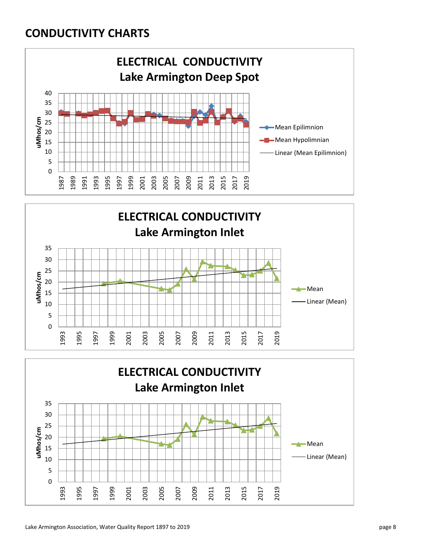#### **CONDUCTIVITY CHARTS**

![](_page_7_Figure_1.jpeg)

![](_page_7_Figure_2.jpeg)

![](_page_7_Figure_3.jpeg)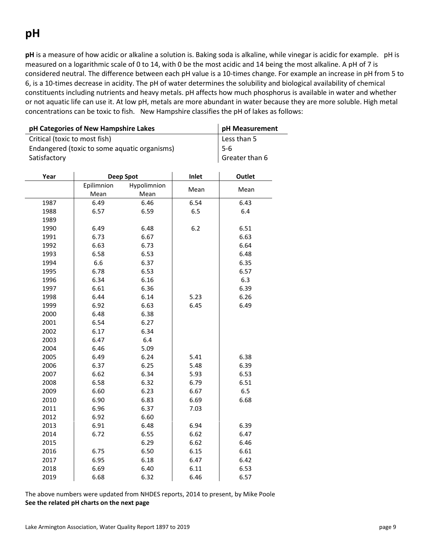# **pH**

**pH** is a measure of how acidic or alkaline a solution is. Baking soda is alkaline, while vinegar is acidic for example. pH is measured on a logarithmic scale of 0 to 14, with 0 be the most acidic and 14 being the most alkaline. A pH of 7 is considered neutral. The difference between each pH value is a 10-times change. For example an increase in pH from 5 to 6, is a 10-times decrease in acidity. The pH of water determines the solubility and biological availability of chemical constituents including nutrients and heavy metals. pH affects how much phosphorus is available in water and whether or not aquatic life can use it. At low pH, metals are more abundant in water because they are more soluble. High metal concentrations can be toxic to fish. New Hampshire classifies the pH of lakes as follows:

| pH Categories of New Hampshire Lakes         | pH Measurement   |             |      |      |
|----------------------------------------------|------------------|-------------|------|------|
| Critical (toxic to most fish)                | Less than 5      |             |      |      |
| Endangered (toxic to some aquatic organisms) | $5-6$            |             |      |      |
| Satisfactory                                 | Greater than 6   |             |      |      |
|                                              |                  |             |      |      |
| Year                                         | <b>Deep Spot</b> | Outlet      |      |      |
|                                              | Epilimnion       | Hypolimnion | Mean | Mean |
|                                              | Mean             | Mean        |      |      |
| 1987                                         | 6.49             | 6.46        | 6.54 | 6.43 |
| 1988                                         | 6.57             | 6.59        | 6.5  | 6.4  |
| 1989                                         |                  |             |      |      |
| 1990                                         | 6.49             | 6.48        | 6.2  | 6.51 |
| 1991                                         | 6.73             | 6.67        |      | 6.63 |
| 1992                                         | 6.63             | 6.73        |      | 6.64 |
| 1993                                         | 6.58             | 6.53        |      | 6.48 |
| 1994                                         | 6.6              | 6.37        |      | 6.35 |
| 1995                                         | 6.78             | 6.53        |      | 6.57 |
| 1996                                         | 6.34             | 6.16        |      | 6.3  |
| 1997                                         | 6.61             | 6.36        |      | 6.39 |
| 1998                                         | 6.44             | 6.14        | 5.23 | 6.26 |
| 1999                                         | 6.92             | 6.63        | 6.45 | 6.49 |
| 2000                                         | 6.48             | 6.38        |      |      |
| 2001                                         | 6.54             | 6.27        |      |      |
| 2002                                         | 6.17             | 6.34        |      |      |
| 2003                                         | 6.47             | 6.4         |      |      |
| 2004                                         | 6.46             | 5.09        |      |      |
| 2005                                         | 6.49             | 6.24        | 5.41 | 6.38 |
| 2006                                         | 6.37             | 6.25        | 5.48 | 6.39 |
| 2007                                         | 6.62             | 6.34        | 5.93 | 6.53 |
| 2008                                         | 6.58             | 6.32        | 6.79 | 6.51 |
| 2009                                         | 6.60             | 6.23        | 6.67 | 6.5  |
| 2010                                         | 6.90             | 6.83        | 6.69 | 6.68 |
| 2011                                         | 6.96             | 6.37        | 7.03 |      |
| 2012                                         | 6.92             | 6.60        |      |      |
| 2013                                         | 6.91             | 6.48        | 6.94 | 6.39 |
| 2014                                         | 6.72             | 6.55        | 6.62 | 6.47 |
| 2015                                         |                  | 6.29        | 6.62 | 6.46 |
| 2016                                         | 6.75             | 6.50        | 6.15 | 6.61 |
| 2017                                         | 6.95             | 6.18        | 6.47 | 6.42 |
| 2018                                         | 6.69             | 6.40        | 6.11 | 6.53 |
| 2019                                         | 6.68             | 6.32        | 6.46 | 6.57 |

The above numbers were updated from NHDES reports, 2014 to present, by Mike Poole **See the related pH charts on the next page**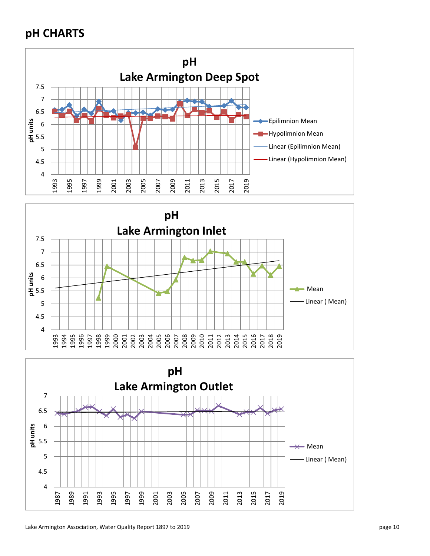### **pH CHARTS**

![](_page_9_Figure_1.jpeg)

![](_page_9_Figure_2.jpeg)

![](_page_9_Figure_3.jpeg)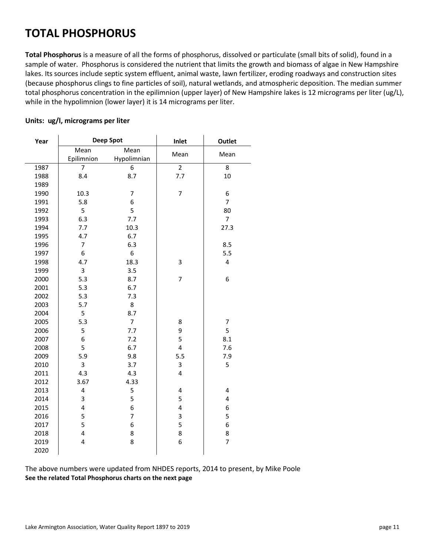### **TOTAL PHOSPHORUS**

**Total Phosphorus** is a measure of all the forms of phosphorus, dissolved or particulate (small bits of solid), found in a sample of water. Phosphorus is considered the nutrient that limits the growth and biomass of algae in New Hampshire lakes. Its sources include septic system effluent, animal waste, lawn fertilizer, eroding roadways and construction sites (because phosphorus clings to fine particles of soil), natural wetlands, and atmospheric deposition. The median summer total phosphorus concentration in the epilimnion (upper layer) of New Hampshire lakes is 12 micrograms per liter (ug/L), while in the hypolimnion (lower layer) it is 14 micrograms per liter.

#### **Units: ug/l, micrograms per liter**

| Year |                         | <b>Deep Spot</b> | Inlet          | <b>Outlet</b>           |
|------|-------------------------|------------------|----------------|-------------------------|
|      | Mean                    | Mean             |                |                         |
|      | Epilimnion              | Hypolimnian      | Mean           | Mean                    |
| 1987 | $\overline{7}$          | 6                | $\overline{2}$ | 8                       |
| 1988 | 8.4                     | 8.7              | 7.7            | 10                      |
| 1989 |                         |                  |                |                         |
| 1990 | 10.3                    | $\overline{7}$   | $\overline{7}$ | 6                       |
| 1991 | 5.8                     | 6                |                | $\overline{7}$          |
| 1992 | 5                       | 5                |                | 80                      |
| 1993 | 6.3                     | 7.7              |                | $\overline{7}$          |
| 1994 | 7.7                     | 10.3             |                | 27.3                    |
| 1995 | 4.7                     | 6.7              |                |                         |
| 1996 | $\overline{7}$          | 6.3              |                | 8.5                     |
| 1997 | 6                       | 6                |                | 5.5                     |
| 1998 | 4.7                     | 18.3             | 3              | $\overline{\mathbf{4}}$ |
| 1999 | 3                       | 3.5              |                |                         |
| 2000 | 5.3                     | 8.7              | $\overline{7}$ | 6                       |
| 2001 | 5.3                     | 6.7              |                |                         |
| 2002 | 5.3                     | 7.3              |                |                         |
| 2003 | 5.7                     | 8                |                |                         |
| 2004 | 5                       | 8.7              |                |                         |
| 2005 | 5.3                     | $\overline{7}$   | 8              | $\overline{7}$          |
| 2006 | 5                       | 7.7              | 9              | 5                       |
| 2007 | 6                       | 7.2              | 5              | 8.1                     |
| 2008 | 5                       | 6.7              | 4              | 7.6                     |
| 2009 | 5.9                     | 9.8              | 5.5            | 7.9                     |
| 2010 | 3                       | 3.7              | 3              | 5                       |
| 2011 | 4.3                     | 4.3              | 4              |                         |
| 2012 | 3.67                    | 4.33             |                |                         |
| 2013 | 4                       | 5                | 4              | 4                       |
| 2014 | 3                       | 5                | 5              | $\overline{\mathbf{4}}$ |
| 2015 | $\overline{\mathbf{4}}$ | 6                | 4              | 6                       |
| 2016 | 5                       | $\overline{7}$   | 3              | 5                       |
| 2017 | 5                       | 6                | 5              | 6                       |
| 2018 | $\overline{\mathbf{4}}$ | 8                | 8              | 8                       |
| 2019 | $\overline{\mathbf{4}}$ | 8                | 6              | $\overline{7}$          |
| 2020 |                         |                  |                |                         |

The above numbers were updated from NHDES reports, 2014 to present, by Mike Poole **See the related Total Phosphorus charts on the next page**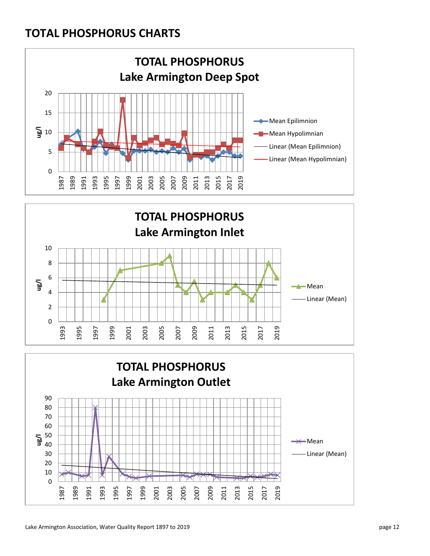#### **TOTAL PHOSPHORUS CHARTS**

![](_page_11_Figure_1.jpeg)

![](_page_11_Figure_2.jpeg)

![](_page_11_Figure_3.jpeg)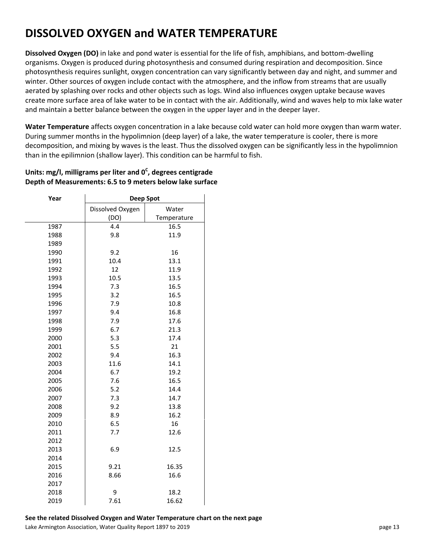### **DISSOLVED OXYGEN and WATER TEMPERATURE**

**Dissolved Oxygen (DO)** in lake and pond water is essential for the life of fish, amphibians, and bottom-dwelling organisms. Oxygen is produced during photosynthesis and consumed during respiration and decomposition. Since photosynthesis requires sunlight, oxygen concentration can vary significantly between day and night, and summer and winter. Other sources of oxygen include contact with the atmosphere, and the inflow from streams that are usually aerated by splashing over rocks and other objects such as logs. Wind also influences oxygen uptake because waves create more surface area of lake water to be in contact with the air. Additionally, wind and waves help to mix lake water and maintain a better balance between the oxygen in the upper layer and in the deeper layer.

**Water Temperature** affects oxygen concentration in a lake because cold water can hold more oxygen than warm water. During summer months in the hypolimnion (deep layer) of a lake, the water temperature is cooler, there is more decomposition, and mixing by waves is the least. Thus the dissolved oxygen can be significantly less in the hypolimnion than in the epilimnion (shallow layer). This condition can be harmful to fish.

#### **Units: mg/l, milligrams per liter and 0<sup>C</sup> , degrees centigrade Depth of Measurements: 6.5 to 9 meters below lake surface**

| Year | <b>Deep Spot</b> |             |  |  |  |  |  |
|------|------------------|-------------|--|--|--|--|--|
|      | Dissolved Oxygen | Water       |  |  |  |  |  |
|      | (DO)             | Temperature |  |  |  |  |  |
| 1987 | 4.4              | 16.5        |  |  |  |  |  |
| 1988 | 9.8              | 11.9        |  |  |  |  |  |
| 1989 |                  |             |  |  |  |  |  |
| 1990 | 9.2              | 16          |  |  |  |  |  |
| 1991 | 10.4             | 13.1        |  |  |  |  |  |
| 1992 | 12               | 11.9        |  |  |  |  |  |
| 1993 | 10.5             | 13.5        |  |  |  |  |  |
| 1994 | 7.3              | 16.5        |  |  |  |  |  |
| 1995 | 3.2              | 16.5        |  |  |  |  |  |
| 1996 | 7.9              | 10.8        |  |  |  |  |  |
| 1997 | 9.4              | 16.8        |  |  |  |  |  |
| 1998 | 7.9              | 17.6        |  |  |  |  |  |
| 1999 | 6.7              | 21.3        |  |  |  |  |  |
| 2000 | 5.3              | 17.4        |  |  |  |  |  |
| 2001 | 5.5              | 21          |  |  |  |  |  |
| 2002 | 9.4              | 16.3        |  |  |  |  |  |
| 2003 | 11.6             | 14.1        |  |  |  |  |  |
| 2004 | 6.7              | 19.2        |  |  |  |  |  |
| 2005 | 7.6              | 16.5        |  |  |  |  |  |
| 2006 | 5.2              | 14.4        |  |  |  |  |  |
| 2007 | 7.3              | 14.7        |  |  |  |  |  |
| 2008 | 9.2              | 13.8        |  |  |  |  |  |
| 2009 | 8.9              | 16.2        |  |  |  |  |  |
| 2010 | 6.5              | 16          |  |  |  |  |  |
| 2011 | 7.7              | 12.6        |  |  |  |  |  |
| 2012 |                  |             |  |  |  |  |  |
| 2013 | 6.9              | 12.5        |  |  |  |  |  |
| 2014 |                  |             |  |  |  |  |  |
| 2015 | 9.21             | 16.35       |  |  |  |  |  |
| 2016 | 8.66             | 16.6        |  |  |  |  |  |
| 2017 |                  |             |  |  |  |  |  |
| 2018 | 9                | 18.2        |  |  |  |  |  |
| 2019 | 7.61             | 16.62       |  |  |  |  |  |

Lake Armington Association, Water Quality Report 1897 to 2019 **page 13** and the state of the state of the state of the state of the state of the state of the state of the state of the state of the state of the state of the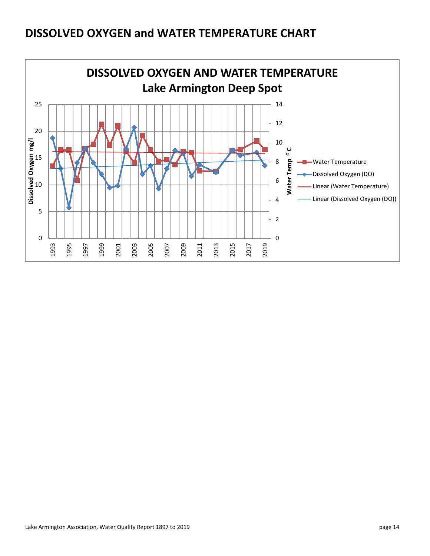### **DISSOLVED OXYGEN and WATER TEMPERATURE CHART**

![](_page_13_Figure_1.jpeg)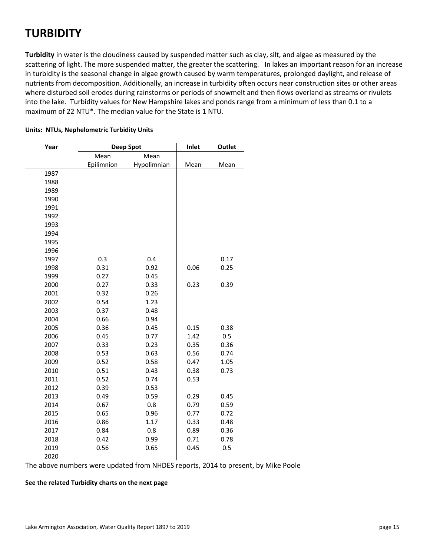#### **TURBIDITY**

**Turbidity** in water is the cloudiness caused by suspended matter such as clay, silt, and algae as measured by the scattering of light. The more suspended matter, the greater the scattering. In lakes an important reason for an increase in turbidity is the seasonal change in algae growth caused by warm temperatures, prolonged daylight, and release of nutrients from decomposition. Additionally, an increase in turbidity often occurs near construction sites or other areas where disturbed soil erodes during rainstorms or periods of snowmelt and then flows overland as streams or rivulets into the lake. Turbidity values for New Hampshire lakes and ponds range from a minimum of less than 0.1 to a maximum of 22 NTU\*. The median value for the State is 1 NTU.

| Year |            | <b>Deep Spot</b> | Inlet | <b>Outlet</b> |  |  |
|------|------------|------------------|-------|---------------|--|--|
|      | Mean       | Mean             |       |               |  |  |
|      | Epilimnion | Hypolimnian      | Mean  | Mean          |  |  |
| 1987 |            |                  |       |               |  |  |
| 1988 |            |                  |       |               |  |  |
| 1989 |            |                  |       |               |  |  |
| 1990 |            |                  |       |               |  |  |
| 1991 |            |                  |       |               |  |  |
| 1992 |            |                  |       |               |  |  |
| 1993 |            |                  |       |               |  |  |
| 1994 |            |                  |       |               |  |  |
| 1995 |            |                  |       |               |  |  |
| 1996 |            |                  |       |               |  |  |
| 1997 | 0.3        | 0.4              |       | 0.17          |  |  |
| 1998 | 0.31       | 0.92             | 0.06  | 0.25          |  |  |
| 1999 | 0.27       | 0.45             |       |               |  |  |
| 2000 | 0.27       | 0.33             | 0.23  | 0.39          |  |  |
| 2001 | 0.32       | 0.26             |       |               |  |  |
| 2002 | 0.54       | 1.23             |       |               |  |  |
| 2003 | 0.37       | 0.48             |       |               |  |  |
| 2004 | 0.66       | 0.94             |       |               |  |  |
| 2005 | 0.36       | 0.45             | 0.15  | 0.38          |  |  |
| 2006 | 0.45       | 0.77             | 1.42  | 0.5           |  |  |
| 2007 | 0.33       | 0.23             | 0.35  | 0.36          |  |  |
| 2008 | 0.53       | 0.63             | 0.56  | 0.74          |  |  |
| 2009 | 0.52       | 0.58             | 0.47  | 1.05          |  |  |
| 2010 | 0.51       | 0.43             | 0.38  | 0.73          |  |  |
| 2011 | 0.52       | 0.74             | 0.53  |               |  |  |
| 2012 | 0.39       | 0.53             |       |               |  |  |
| 2013 | 0.49       | 0.59             | 0.29  | 0.45          |  |  |
| 2014 | 0.67       | 0.8              | 0.79  | 0.59          |  |  |
| 2015 | 0.65       | 0.96             | 0.77  | 0.72          |  |  |
| 2016 | 0.86       | 1.17             | 0.33  | 0.48          |  |  |
| 2017 | 0.84       | 0.8              | 0.89  | 0.36          |  |  |
| 2018 | 0.42       | 0.99             | 0.71  | 0.78          |  |  |
| 2019 | 0.56       | 0.65             | 0.45  | 0.5           |  |  |
| 2020 |            |                  |       |               |  |  |

#### **Units: NTUs, Nephelometric Turbidity Units**

The above numbers were updated from NHDES reports, 2014 to present, by Mike Poole

#### **See the related Turbidity charts on the next page**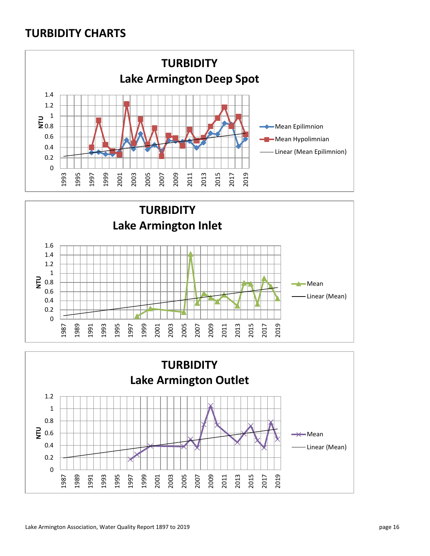#### **TURBIDITY CHARTS**

![](_page_15_Figure_1.jpeg)

![](_page_15_Figure_2.jpeg)

![](_page_15_Figure_3.jpeg)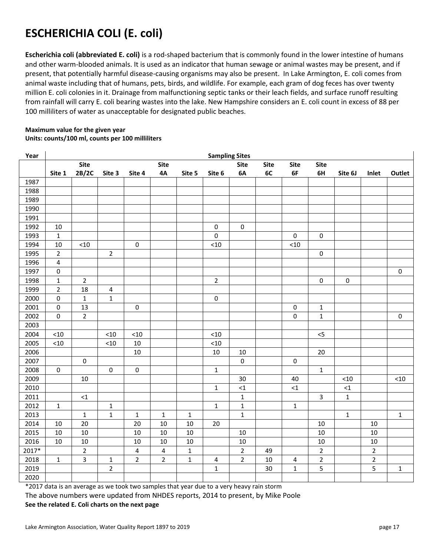## **ESCHERICHIA COLI (E. coli)**

**Escherichia coli (abbreviated E. coli)** is a rod-shaped bacterium that is commonly found in the lower intestine of humans and other warm-blooded animals. It is used as an indicator that human sewage or animal wastes may be present, and if present, that potentially harmful disease-causing organisms may also be present. In Lake Armington, E. coli comes from animal waste including that of humans, pets, birds, and wildlife. For example, each gram of dog feces has over twenty million E. coli colonies in it. Drainage from malfunctioning septic tanks or their leach fields, and surface runoff resulting from rainfall will carry E. coli bearing wastes into the lake. New Hampshire considers an E. coli count in excess of 88 per 100 milliliters of water as unacceptable for designated public beaches.

#### **Maximum value for the given year Units: counts/100 ml, counts per 100 milliliters**

| Year  | <b>Sampling Sites</b> |                |                |                         |                         |              |                     |                |             |             |                |              |                |              |
|-------|-----------------------|----------------|----------------|-------------------------|-------------------------|--------------|---------------------|----------------|-------------|-------------|----------------|--------------|----------------|--------------|
|       |                       | <b>Site</b>    |                |                         | <b>Site</b>             |              |                     | <b>Site</b>    | <b>Site</b> | <b>Site</b> | <b>Site</b>    |              |                |              |
|       | Site 1                | 2B/2C          | Site 3         | Site 4                  | 4A                      | Site 5       | Site 6              | 6A             | 6C          | 6F          | 6H             | Site 6J      | Inlet          | Outlet       |
| 1987  |                       |                |                |                         |                         |              |                     |                |             |             |                |              |                |              |
| 1988  |                       |                |                |                         |                         |              |                     |                |             |             |                |              |                |              |
| 1989  |                       |                |                |                         |                         |              |                     |                |             |             |                |              |                |              |
| 1990  |                       |                |                |                         |                         |              |                     |                |             |             |                |              |                |              |
| 1991  |                       |                |                |                         |                         |              |                     |                |             |             |                |              |                |              |
| 1992  | 10                    |                |                |                         |                         |              | $\pmb{0}$           | 0              |             |             |                |              |                |              |
| 1993  | $\mathbf{1}$          |                |                |                         |                         |              | $\mathsf{O}\xspace$ |                |             | $\mathsf 0$ | $\pmb{0}$      |              |                |              |
| 1994  | 10                    | $<\!\!10$      |                | $\pmb{0}$               |                         |              | < 10                |                |             | $<10$       |                |              |                |              |
| 1995  | $\overline{2}$        |                | $\overline{2}$ |                         |                         |              |                     |                |             |             | $\pmb{0}$      |              |                |              |
| 1996  | $\pmb{4}$             |                |                |                         |                         |              |                     |                |             |             |                |              |                |              |
| 1997  | $\pmb{0}$             |                |                |                         |                         |              |                     |                |             |             |                |              |                | $\mathbf 0$  |
| 1998  | $\mathbf 1$           | $\overline{2}$ |                |                         |                         |              | $\mathbf 2$         |                |             |             | $\pmb{0}$      | 0            |                |              |
| 1999  | $\overline{2}$        | 18             | 4              |                         |                         |              |                     |                |             |             |                |              |                |              |
| 2000  | $\pmb{0}$             | $\mathbf 1$    | $\mathbf 1$    |                         |                         |              | $\pmb{0}$           |                |             |             |                |              |                |              |
| 2001  | $\mathbf 0$           | 13             |                | $\pmb{0}$               |                         |              |                     |                |             | 0           | $\mathbf{1}$   |              |                |              |
| 2002  | $\pmb{0}$             | $\overline{2}$ |                |                         |                         |              |                     |                |             | 0           | $\mathbf{1}$   |              |                | $\pmb{0}$    |
| 2003  |                       |                |                |                         |                         |              |                     |                |             |             |                |              |                |              |
| 2004  | $<10$                 |                | < 10           | $<10$                   |                         |              | $<10$               |                |             |             | 5              |              |                |              |
| 2005  | $<10$                 |                | < 10           | $10\,$                  |                         |              | $<10$               |                |             |             |                |              |                |              |
| 2006  |                       |                |                | $10\,$                  |                         |              | $10\,$              | $10\,$         |             |             | 20             |              |                |              |
| 2007  |                       | $\pmb{0}$      |                |                         |                         |              |                     | $\pmb{0}$      |             | 0           |                |              |                |              |
| 2008  | $\pmb{0}$             |                | $\pmb{0}$      | $\pmb{0}$               |                         |              | $\mathbf 1$         |                |             |             | $\mathbf{1}$   |              |                |              |
| 2009  |                       | $10\,$         |                |                         |                         |              |                     | 30             |             | 40          |                | $<$ 10 $\,$  |                | $<10$        |
| 2010  |                       |                |                |                         |                         |              | $\mathbf{1}$        | $\leq$ 1       |             | $\leq 1$    |                | ${<}1$       |                |              |
| 2011  |                       | ${<}1$         |                |                         |                         |              |                     | $\mathbf 1$    |             |             | 3              | $\mathbf{1}$ |                |              |
| 2012  | $\mathbf 1$           |                | $\mathbf 1$    |                         |                         |              | $\mathbf{1}$        | $\mathbf 1$    |             | $\mathbf 1$ |                |              |                |              |
| 2013  |                       | $\mathbf 1$    | $\mathbf 1$    | $\mathbf 1$             | $\mathbf 1$             | $\mathbf 1$  |                     | $\mathbf 1$    |             |             |                | $\mathbf 1$  |                | $\mathbf 1$  |
| 2014  | 10                    | 20             |                | 20                      | 10                      | 10           | 20                  |                |             |             | 10             |              | 10             |              |
| 2015  | 10                    | $10\,$         |                | 10                      | 10                      | $10\,$       |                     | 10             |             |             | $10\,$         |              | $10\,$         |              |
| 2016  | 10                    | $10\,$         |                | 10                      | 10                      | 10           |                     | 10             |             |             | 10             |              | 10             |              |
| 2017* |                       | $\overline{2}$ |                | $\overline{\mathbf{4}}$ | $\overline{\mathbf{4}}$ | $\mathbf 1$  |                     | $\overline{2}$ | 49          |             | $\overline{2}$ |              | $\overline{2}$ |              |
| 2018  | $\mathbf{1}$          | 3              | $\mathbf{1}$   | $\overline{2}$          | $\overline{2}$          | $\mathbf{1}$ | 4                   | $\overline{2}$ | 10          | 4           | $\overline{2}$ |              | $\overline{2}$ |              |
| 2019  |                       |                | $\overline{2}$ |                         |                         |              | $\mathbf 1$         |                | 30          | $\mathbf 1$ | 5              |              | 5              | $\mathbf{1}$ |
| 2020  |                       |                |                |                         |                         |              |                     |                |             |             |                |              |                |              |

\*2017 data is an average as we took two samples that year due to a very heavy rain storm

The above numbers were updated from NHDES reports, 2014 to present, by Mike Poole **See the related E. Coli charts on the next page**